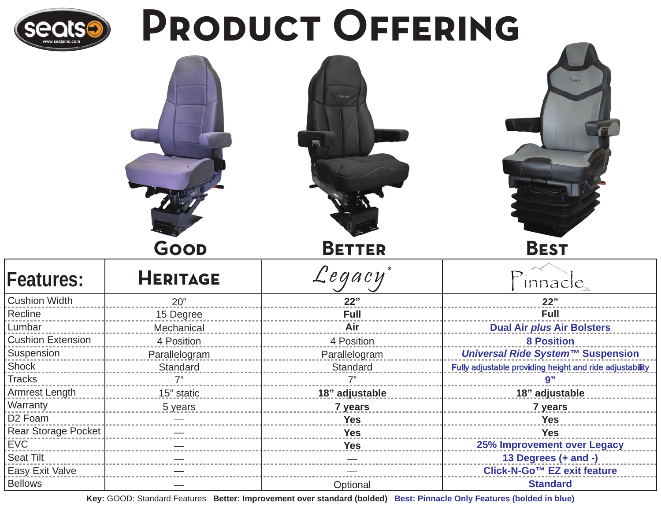

Bellows

# PRODUCT OFFERING

|                          | GOOD            | <b>BETTER</b>      | <b>BEST</b>                                              |
|--------------------------|-----------------|--------------------|----------------------------------------------------------|
| <b>Features:</b>         | <b>HERITAGE</b> | $\mathcal{L}$ egac | <i>innacle</i>                                           |
| <b>Cushion Width</b>     | 20"             | 22"                | 22"                                                      |
| Recline                  | 15 Degree       | Full               | Full                                                     |
| Lumbar                   | Mechanical      | Air                | <b>Dual Air plus Air Bolsters</b>                        |
| <b>Cushion Extension</b> | 4 Position      | 4 Position         | <b>8 Position</b>                                        |
| Suspension               | Parallelogram   | Parallelogram      | Universal Ride System™ Suspension                        |
| Shock                    | Standard        | Standard           | Fully adjustable providing height and ride adjustability |
| <b>Tracks</b>            |                 |                    | 9"                                                       |
| Armrest Length           | 15" static      | 18" adjustable     | 18" adjustable                                           |
| Warranty                 | 5 years         | 7 years            | 7 years                                                  |
| D <sub>2</sub> Foam      |                 | <b>Yes</b>         | <b>Yes</b>                                               |
| Rear Storage Pocket      |                 | <b>Yes</b>         | <b>Yes</b>                                               |
| <b>EVC</b>               |                 | <b>Yes</b>         | 25% Improvement over Legacy                              |
| <b>Seat Tilt</b>         |                 |                    | 13 Degrees (+ and -)                                     |
| Easy Exit Valve          |                 |                    | Click-N-Go™ EZ exit feature                              |

**Key:** GOOD: Standard Features **Better: Improvement over standard (bolded) Best: Pinnacle Only Features (bolded in blue)**

**Optional** 

**Standard**

—